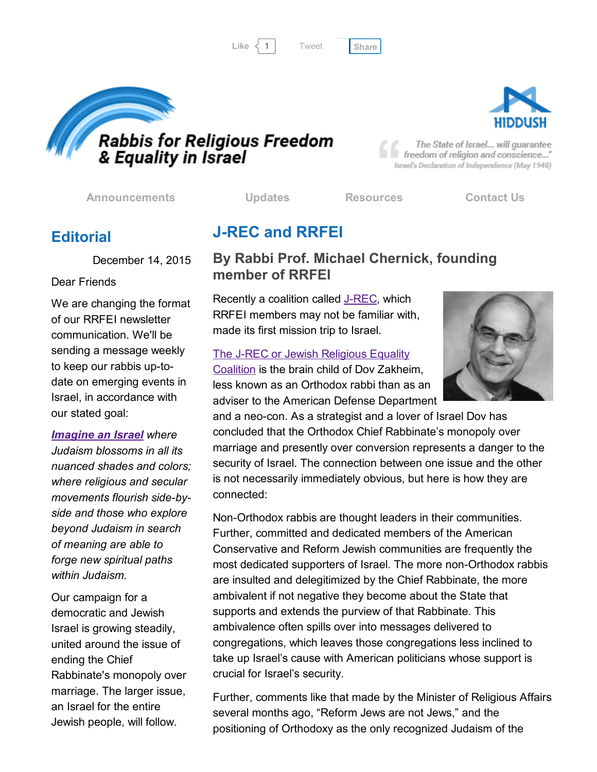Like  $\langle 1 |$  Tweet [Share](javascript:void(0);)

[Tweet](https://twitter.com/intent/tweet?original_referer=http%3A%2F%2Fhosted-p0.vresp.com%2F577764%2F42c2d14135%2FARCHIVE&ref_src=twsrc%5Etfw&text=Bulletin%3A%20AJC%20Jewish%20Religious%20Equality%20Coalition%3A&tw_p=tweetbutton&url=http%3A%2F%2Fhosted-p0.vresp.com%2F577764%2F42c2d14135%2FARCHIVE%23.Vm_7zYSqBLM.twitter)



freedom of religion and conscience..." Israel's Declaration of Independence (May 1948)

[Announcements](http://rrfei.org/announcements/) [Updates](http://rrfei.org/about/rrfei-updates/) [Resources](http://rrfei.org/resources/) [Contact](http://rrfei.org/contact-us/) Us

The State of Israel... will guarantee

## **Editorial**

December 14, 2015

#### Dear Friends

We are changing the format of our RRFEI newsletter communication. We'll be sending a message weekly to keep our rabbis up-todate on emerging events in Israel, in accordance with our stated goal:

*[Imagine](http://rrfei.org/resources/vision-of-hiddush-and-rabbis-for-religious-freedom/) an Israel where Judaism blossoms in all its nuanced shades and colors; where religious and secular movements flourish side-byside and those who explore beyond Judaism in search of meaning are able to forge new spiritual paths within Judaism.*

Our campaign for a democratic and Jewish Israel is growing steadily, united around the issue of ending the Chief Rabbinate's monopoly over marriage. The larger issue, an Israel for the entire Jewish people, will follow.

# **J-REC and RRFEI**

#### By Rabbi Prof. Michael Chernick, founding member of RRFEI

Recently a coalition called J-REC, which RRFEI members may not be familiar with, made its first mission trip to Israel.

#### The J-REC or Jewish [Religious](http://www.ajc.org/site/c.7oJILSPwFfJSG/b.8529465/k.4DD7/Jewish_Religious_Equality_Coalition.htm) Equality

Coalition is the brain child of Dov Zakheim, less known as an Orthodox rabbi than as an adviser to the American Defense Department



and a neo-con. As a strategist and a lover of Israel Dov has concluded that the Orthodox Chief Rabbinate's monopoly over marriage and presently over conversion represents a danger to the security of Israel. The connection between one issue and the other is not necessarily immediately obvious, but here is how they are connected:

Non-Orthodox rabbis are thought leaders in their communities. Further, committed and dedicated members of the American Conservative and Reform Jewish communities are frequently the most dedicated supporters of Israel. The more non-Orthodox rabbis are insulted and delegitimized by the Chief Rabbinate, the more ambivalent if not negative they become about the State that supports and extends the purview of that Rabbinate. This ambivalence often spills over into messages delivered to congregations, which leaves those congregations less inclined to take up Israel's cause with American politicians whose support is crucial for Israel's security.

Further, comments like that made by the Minister of Religious Affairs several months ago, "Reform Jews are not Jews," and the positioning of Orthodoxy as the only recognized Judaism of the

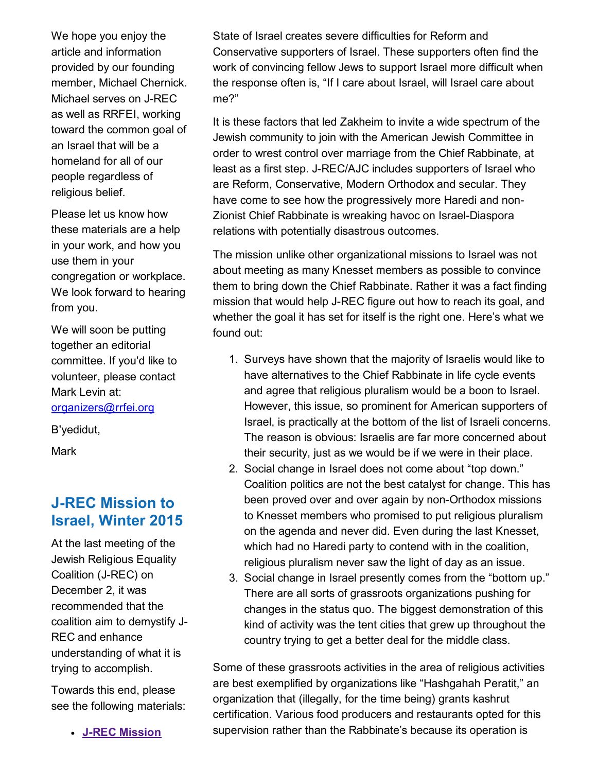We hope you enjoy the article and information provided by our founding member, Michael Chernick. Michael serves on J-REC as well as RRFEI, working toward the common goal of an Israel that will be a homeland for all of our people regardless of religious belief.

Please let us know how these materials are a help in your work, and how you use them in your congregation or workplace. We look forward to hearing from you.

We will soon be putting together an editorial committee. If you'd like to volunteer, please contact Mark Levin at: [organizers@rrfei.org](mailto:organizers@rrfei.org)

B'yedidut,

Mark

## **J-REC Mission to** Israel, Winter 2015

At the last meeting of the Jewish Religious Equality Coalition (J-REC) on December 2, it was recommended that the coalition aim to demystify J-REC and enhance understanding of what it is trying to accomplish.

Towards this end, please see the following materials:

**J-REC [Mission](http://rrfei.org/resources/ajc-j-rec-mission-to-israel-winter-2015/)** 

State of Israel creates severe difficulties for Reform and Conservative supporters of Israel. These supporters often find the work of convincing fellow Jews to support Israel more difficult when the response often is, "If I care about Israel, will Israel care about me?"

It is these factors that led Zakheim to invite a wide spectrum of the Jewish community to join with the American Jewish Committee in order to wrest control over marriage from the Chief Rabbinate, at least as a first step. J-REC/AJC includes supporters of Israel who are Reform, Conservative, Modern Orthodox and secular. They have come to see how the progressively more Haredi and non-Zionist Chief Rabbinate is wreaking havoc on Israel-Diaspora relations with potentially disastrous outcomes.

The mission unlike other organizational missions to Israel was not about meeting as many Knesset members as possible to convince them to bring down the Chief Rabbinate. Rather it was a fact finding mission that would help J-REC figure out how to reach its goal, and whether the goal it has set for itself is the right one. Here's what we found out:

- 1. Surveys have shown that the majority of Israelis would like to have alternatives to the Chief Rabbinate in life cycle events and agree that religious pluralism would be a boon to Israel. However, this issue, so prominent for American supporters of Israel, is practically at the bottom of the list of Israeli concerns. The reason is obvious: Israelis are far more concerned about their security, just as we would be if we were in their place.
- 2. Social change in Israel does not come about "top down." Coalition politics are not the best catalyst for change. This has been proved over and over again by non-Orthodox missions to Knesset members who promised to put religious pluralism on the agenda and never did. Even during the last Knesset, which had no Haredi party to contend with in the coalition, religious pluralism never saw the light of day as an issue.
- 3. Social change in Israel presently comes from the "bottom up." There are all sorts of grassroots organizations pushing for changes in the status quo. The biggest demonstration of this kind of activity was the tent cities that grew up throughout the country trying to get a better deal for the middle class.

Some of these grassroots activities in the area of religious activities are best exemplified by organizations like "Hashgahah Peratit," an organization that (illegally, for the time being) grants kashrut certification. Various food producers and restaurants opted for this supervision rather than the Rabbinate's because its operation is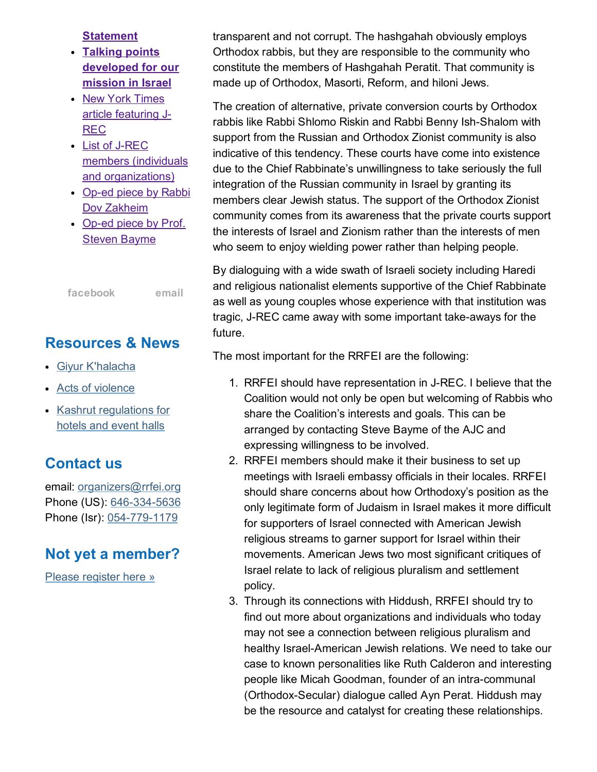**[Statement](http://rrfei.org/resources/ajc-j-rec-mission-to-israel-winter-2015/)** 

- Talking points [developed](http://rrfei.org/resources/ajc-j-rec-mission-to-israel-winter-2015/) for our mission in Israel
- New York Times article [featuring](http://rrfei.org/resources/ajc-j-rec-mission-to-israel-winter-2015/) J-REC
- List of J-REC members (individuals and [organizations\)](http://rrfei.org/resources/ajc-j-rec-mission-to-israel-winter-2015/)
- Op-ed piece by Rabbi Dov [Zakheim](http://rrfei.org/resources/ajc-j-rec-mission-to-israel-winter-2015/)
- Op-ed piece by Prof. **Steven [Bayme](http://rrfei.org/resources/ajc-j-rec-mission-to-israel-winter-2015/)**

[facebook](https://www.facebook.com/groups/132239560451232/) [email](mailto:organizers@rrfei.org)

#### Resources & News

- Giyur [K'halacha](http://rrfei.org/resources/giyur-khalacha-summer-2015/)
- Acts of [violence](http://rrfei.org/resources/acts-of-violence-summer-2015/)
- Kashrut [regulations](http://rrfei.org/resources/kashrut-regulations-for-hotels-spring-2015/) for hotels and event halls

### Contact us

email: [organizers@rrfei.org](mailto:organizers@rrfei.org) Phone (US): 646-334-5636 Phone (Isr): 054-779-1179

#### Not yet a member?

Please [register](http://rrfei.org/about/registration/) here »

transparent and not corrupt. The hashgahah obviously employs Orthodox rabbis, but they are responsible to the community who constitute the members of Hashgahah Peratit. That community is made up of Orthodox, Masorti, Reform, and hiloni Jews.

The creation of alternative, private conversion courts by Orthodox rabbis like Rabbi Shlomo Riskin and Rabbi Benny Ish-Shalom with support from the Russian and Orthodox Zionist community is also indicative of this tendency. These courts have come into existence due to the Chief Rabbinate's unwillingness to take seriously the full integration of the Russian community in Israel by granting its members clear Jewish status. The support of the Orthodox Zionist community comes from its awareness that the private courts support the interests of Israel and Zionism rather than the interests of men who seem to enjoy wielding power rather than helping people.

By dialoguing with a wide swath of Israeli society including Haredi and religious nationalist elements supportive of the Chief Rabbinate as well as young couples whose experience with that institution was tragic, J-REC came away with some important take-aways for the future.

The most important for the RRFEI are the following:

- 1. RRFEI should have representation in J-REC. I believe that the Coalition would not only be open but welcoming of Rabbis who share the Coalition's interests and goals. This can be arranged by contacting Steve Bayme of the AJC and expressing willingness to be involved.
- 2. RRFEI members should make it their business to set up meetings with Israeli embassy officials in their locales. RRFEI should share concerns about how Orthodoxy's position as the only legitimate form of Judaism in Israel makes it more difficult for supporters of Israel connected with American Jewish religious streams to garner support for Israel within their movements. American Jews two most significant critiques of Israel relate to lack of religious pluralism and settlement policy.
- 3. Through its connections with Hiddush, RRFEI should try to find out more about organizations and individuals who today may not see a connection between religious pluralism and healthy Israel-American Jewish relations. We need to take our case to known personalities like Ruth Calderon and interesting people like Micah Goodman, founder of an intra-communal (Orthodox-Secular) dialogue called Ayn Perat. Hiddush may be the resource and catalyst for creating these relationships.